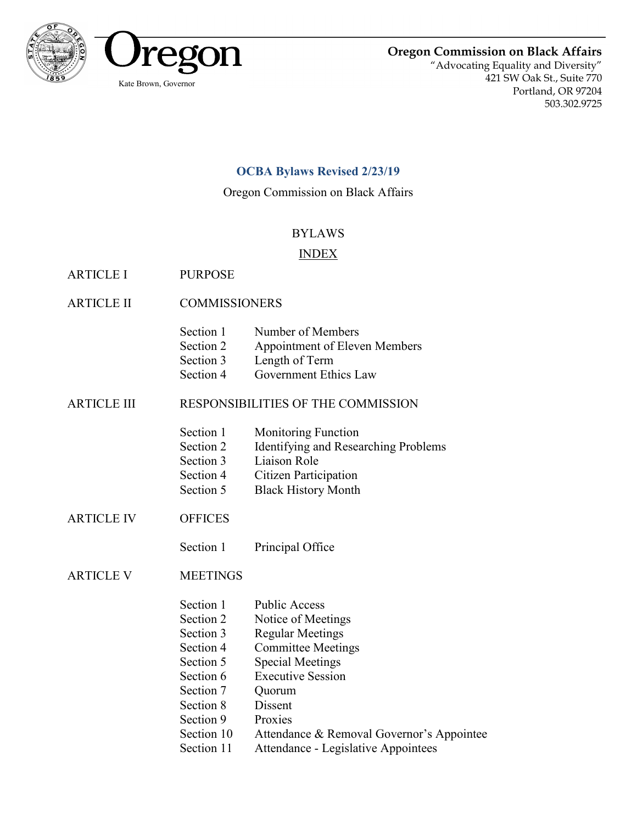

**Oregon Commission on Black Affairs**

"Advocating Equality and Diversity" 421 SW Oak St., Suite 770 Portland, OR 97204 503.302.9725

# **OCBA Bylaws Revised 2/23/19**

Oregon Commission on Black Affairs

# BYLAWS

## INDEX

- ARTICLE I PURPOSE
- ARTICLE II COMMISSIONERS

| Section 1 | Number of Members             |
|-----------|-------------------------------|
| Section 2 | Appointment of Eleven Members |

- Section 3 Length of Term
- Section 4 Government Ethics Law

## ARTICLE III RESPONSIBILITIES OF THE COMMISSION

- Section 1 Monitoring Function
- Section 2 Identifying and Researching Problems
- Section 3 Liaison Role
- Section 4 Citizen Participation
- Section 5 Black History Month
- ARTICLE IV OFFICES
	- Section 1 Principal Office

ARTICLE V MEETINGS

- Section 1 Public Access
- Section 2 Notice of Meetings
- Section 3 Regular Meetings
- Section 4 Committee Meetings
- Section 5 Special Meetings
- Section 6 Executive Session
- Section 7 Ouorum
- Section 8 Dissent
- Section 9 Proxies
- Section 10 Attendance & Removal Governor's Appointee
- Section 11 Attendance Legislative Appointees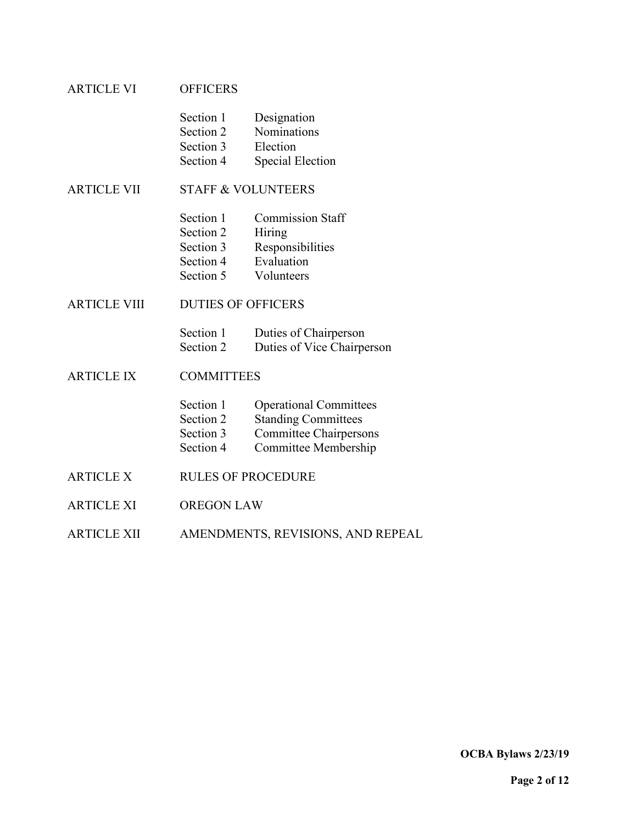## ARTICLE VI OFFICERS

| Section 1 | Designation             |
|-----------|-------------------------|
| Section 2 | Nominations             |
| Section 3 | Election                |
| Section 4 | <b>Special Election</b> |

ARTICLE VII STAFF & VOLUNTEERS

| Section 1 | <b>Commission Staff</b> |
|-----------|-------------------------|
| Section 2 | Hiring                  |
| Section 3 | Responsibilities        |
| Section 4 | Evaluation              |
| Section 5 | Volunteers              |

ARTICLE VIII DUTIES OF OFFICERS

| Section 1 | Duties of Chairperson      |
|-----------|----------------------------|
| Section 2 | Duties of Vice Chairperson |

ARTICLE IX COMMITTEES

| Section 1 | <b>Operational Committees</b> |
|-----------|-------------------------------|
| Section 2 | <b>Standing Committees</b>    |
|           |                               |

- Section 3 Committee Chairpersons<br>Section 4 Committee Membership
- Committee Membership
- ARTICLE X RULES OF PROCEDURE
- ARTICLE XI OREGON LAW
- ARTICLE XII AMENDMENTS, REVISIONS, AND REPEAL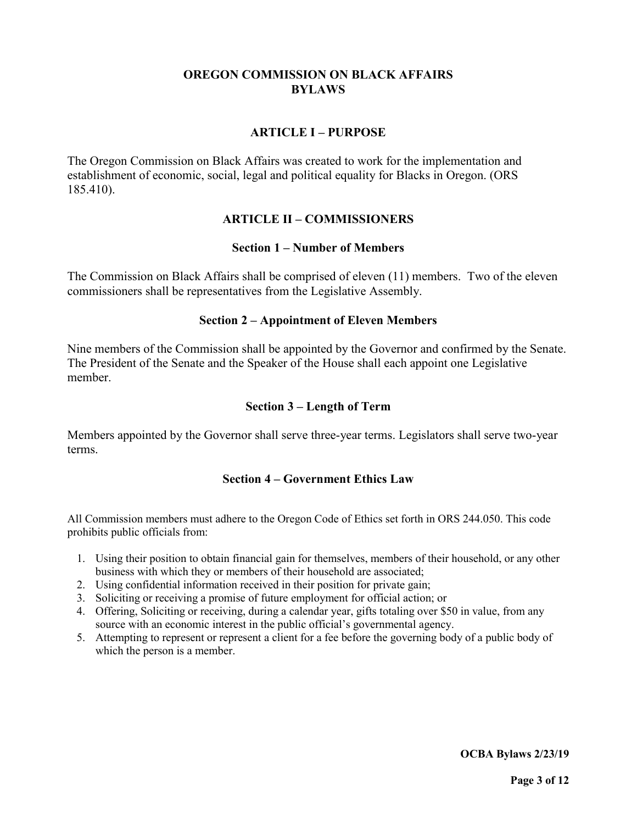## **OREGON COMMISSION ON BLACK AFFAIRS BYLAWS**

## **ARTICLE I – PURPOSE**

The Oregon Commission on Black Affairs was created to work for the implementation and establishment of economic, social, legal and political equality for Blacks in Oregon. (ORS 185.410).

### **ARTICLE II – COMMISSIONERS**

### **Section 1 – Number of Members**

The Commission on Black Affairs shall be comprised of eleven (11) members. Two of the eleven commissioners shall be representatives from the Legislative Assembly.

### **Section 2 – Appointment of Eleven Members**

Nine members of the Commission shall be appointed by the Governor and confirmed by the Senate. The President of the Senate and the Speaker of the House shall each appoint one Legislative member.

### **Section 3 – Length of Term**

Members appointed by the Governor shall serve three-year terms. Legislators shall serve two-year terms.

### **Section 4 – Government Ethics Law**

All Commission members must adhere to the Oregon Code of Ethics set forth in ORS 244.050. This code prohibits public officials from:

- 1. Using their position to obtain financial gain for themselves, members of their household, or any other business with which they or members of their household are associated;
- 2. Using confidential information received in their position for private gain;
- 3. Soliciting or receiving a promise of future employment for official action; or
- 4. Offering, Soliciting or receiving, during a calendar year, gifts totaling over \$50 in value, from any source with an economic interest in the public official's governmental agency.
- 5. Attempting to represent or represent a client for a fee before the governing body of a public body of which the person is a member.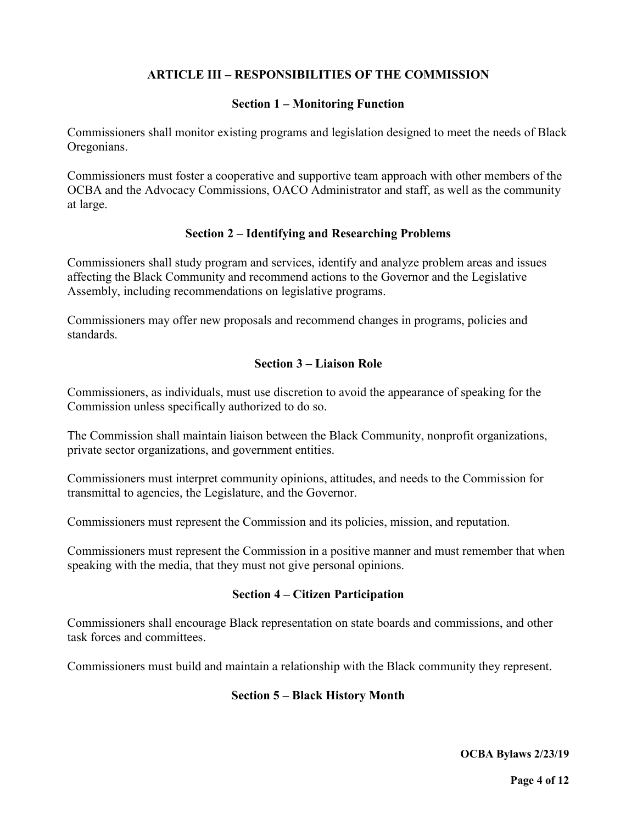# **ARTICLE III – RESPONSIBILITIES OF THE COMMISSION**

#### **Section 1 – Monitoring Function**

Commissioners shall monitor existing programs and legislation designed to meet the needs of Black Oregonians.

Commissioners must foster a cooperative and supportive team approach with other members of the OCBA and the Advocacy Commissions, OACO Administrator and staff, as well as the community at large.

### **Section 2 – Identifying and Researching Problems**

Commissioners shall study program and services, identify and analyze problem areas and issues affecting the Black Community and recommend actions to the Governor and the Legislative Assembly, including recommendations on legislative programs.

Commissioners may offer new proposals and recommend changes in programs, policies and standards.

## **Section 3 – Liaison Role**

Commissioners, as individuals, must use discretion to avoid the appearance of speaking for the Commission unless specifically authorized to do so.

The Commission shall maintain liaison between the Black Community, nonprofit organizations, private sector organizations, and government entities.

Commissioners must interpret community opinions, attitudes, and needs to the Commission for transmittal to agencies, the Legislature, and the Governor.

Commissioners must represent the Commission and its policies, mission, and reputation.

Commissioners must represent the Commission in a positive manner and must remember that when speaking with the media, that they must not give personal opinions.

#### **Section 4 – Citizen Participation**

Commissioners shall encourage Black representation on state boards and commissions, and other task forces and committees.

Commissioners must build and maintain a relationship with the Black community they represent.

### **Section 5 – Black History Month**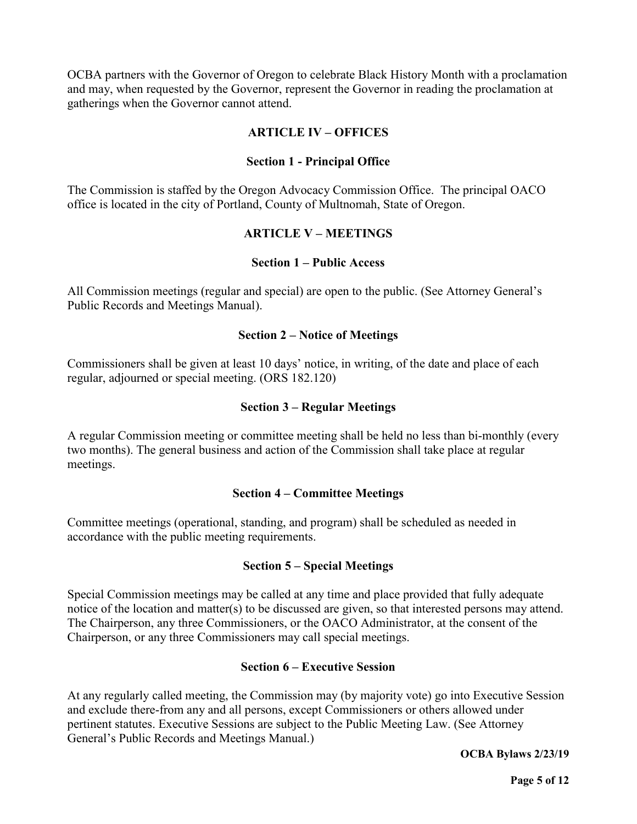OCBA partners with the Governor of Oregon to celebrate Black History Month with a proclamation and may, when requested by the Governor, represent the Governor in reading the proclamation at gatherings when the Governor cannot attend.

## **ARTICLE IV – OFFICES**

### **Section 1 - Principal Office**

The Commission is staffed by the Oregon Advocacy Commission Office. The principal OACO office is located in the city of Portland, County of Multnomah, State of Oregon.

### **ARTICLE V – MEETINGS**

#### **Section 1 – Public Access**

All Commission meetings (regular and special) are open to the public. (See Attorney General's Public Records and Meetings Manual).

#### **Section 2 – Notice of Meetings**

Commissioners shall be given at least 10 days' notice, in writing, of the date and place of each regular, adjourned or special meeting. (ORS 182.120)

#### **Section 3 – Regular Meetings**

A regular Commission meeting or committee meeting shall be held no less than bi-monthly (every two months). The general business and action of the Commission shall take place at regular meetings.

#### **Section 4 – Committee Meetings**

Committee meetings (operational, standing, and program) shall be scheduled as needed in accordance with the public meeting requirements.

### **Section 5 – Special Meetings**

Special Commission meetings may be called at any time and place provided that fully adequate notice of the location and matter(s) to be discussed are given, so that interested persons may attend. The Chairperson, any three Commissioners, or the OACO Administrator, at the consent of the Chairperson, or any three Commissioners may call special meetings.

### **Section 6 – Executive Session**

At any regularly called meeting, the Commission may (by majority vote) go into Executive Session and exclude there-from any and all persons, except Commissioners or others allowed under pertinent statutes. Executive Sessions are subject to the Public Meeting Law. (See Attorney General's Public Records and Meetings Manual.)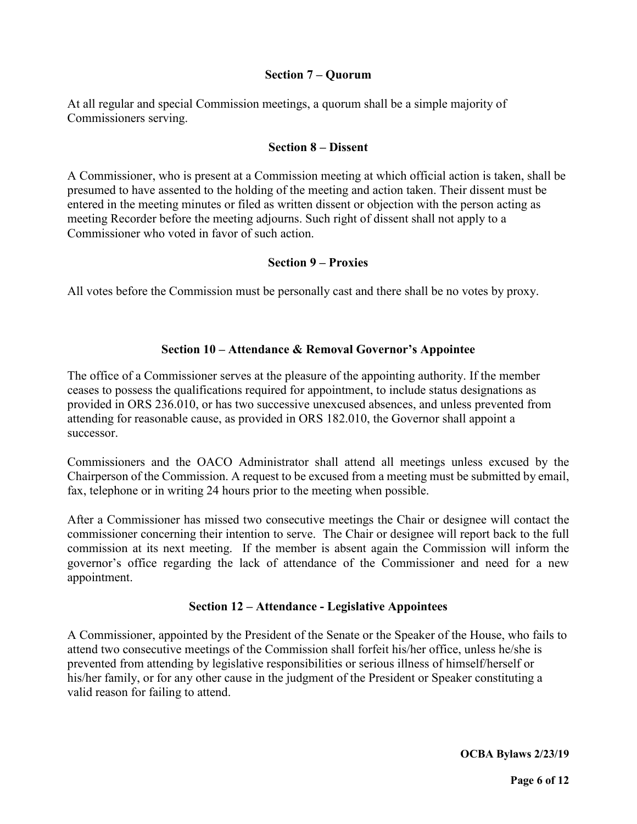#### **Section 7 – Quorum**

At all regular and special Commission meetings, a quorum shall be a simple majority of Commissioners serving.

#### **Section 8 – Dissent**

A Commissioner, who is present at a Commission meeting at which official action is taken, shall be presumed to have assented to the holding of the meeting and action taken. Their dissent must be entered in the meeting minutes or filed as written dissent or objection with the person acting as meeting Recorder before the meeting adjourns. Such right of dissent shall not apply to a Commissioner who voted in favor of such action.

### **Section 9 – Proxies**

All votes before the Commission must be personally cast and there shall be no votes by proxy.

### **Section 10 – Attendance & Removal Governor's Appointee**

The office of a Commissioner serves at the pleasure of the appointing authority. If the member ceases to possess the qualifications required for appointment, to include status designations as provided in ORS 236.010, or has two successive unexcused absences, and unless prevented from attending for reasonable cause, as provided in ORS 182.010, the Governor shall appoint a successor.

Commissioners and the OACO Administrator shall attend all meetings unless excused by the Chairperson of the Commission. A request to be excused from a meeting must be submitted by email, fax, telephone or in writing 24 hours prior to the meeting when possible.

After a Commissioner has missed two consecutive meetings the Chair or designee will contact the commissioner concerning their intention to serve. The Chair or designee will report back to the full commission at its next meeting. If the member is absent again the Commission will inform the governor's office regarding the lack of attendance of the Commissioner and need for a new appointment.

### **Section 12 – Attendance - Legislative Appointees**

A Commissioner, appointed by the President of the Senate or the Speaker of the House, who fails to attend two consecutive meetings of the Commission shall forfeit his/her office, unless he/she is prevented from attending by legislative responsibilities or serious illness of himself/herself or his/her family, or for any other cause in the judgment of the President or Speaker constituting a valid reason for failing to attend.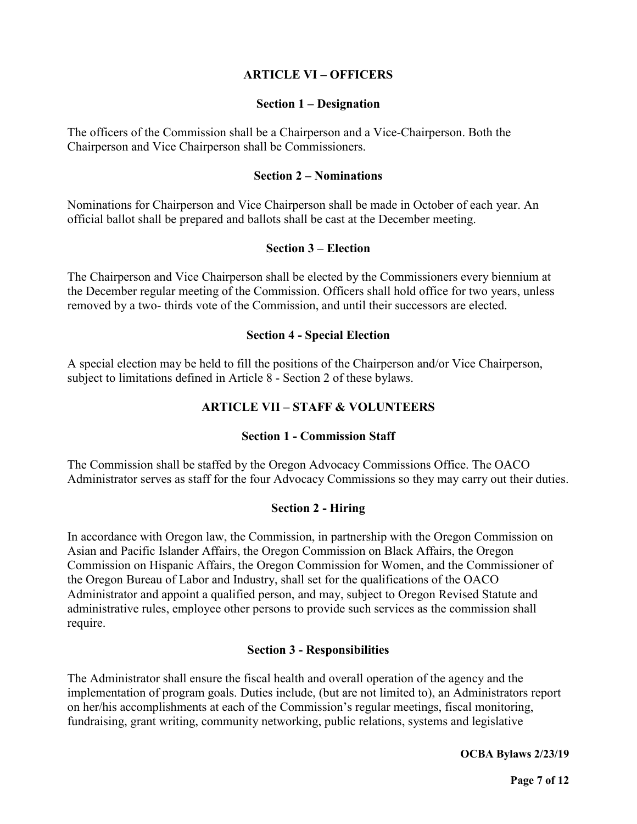## **ARTICLE VI – OFFICERS**

#### **Section 1 – Designation**

The officers of the Commission shall be a Chairperson and a Vice-Chairperson. Both the Chairperson and Vice Chairperson shall be Commissioners.

#### **Section 2 – Nominations**

Nominations for Chairperson and Vice Chairperson shall be made in October of each year. An official ballot shall be prepared and ballots shall be cast at the December meeting.

#### **Section 3 – Election**

The Chairperson and Vice Chairperson shall be elected by the Commissioners every biennium at the December regular meeting of the Commission. Officers shall hold office for two years, unless removed by a two- thirds vote of the Commission, and until their successors are elected.

#### **Section 4 - Special Election**

A special election may be held to fill the positions of the Chairperson and/or Vice Chairperson, subject to limitations defined in Article 8 - Section 2 of these bylaws.

## **ARTICLE VII – STAFF & VOLUNTEERS**

## **Section 1 - Commission Staff**

The Commission shall be staffed by the Oregon Advocacy Commissions Office. The OACO Administrator serves as staff for the four Advocacy Commissions so they may carry out their duties.

### **Section 2 - Hiring**

In accordance with Oregon law, the Commission, in partnership with the Oregon Commission on Asian and Pacific Islander Affairs, the Oregon Commission on Black Affairs, the Oregon Commission on Hispanic Affairs, the Oregon Commission for Women, and the Commissioner of the Oregon Bureau of Labor and Industry, shall set for the qualifications of the OACO Administrator and appoint a qualified person, and may, subject to Oregon Revised Statute and administrative rules, employee other persons to provide such services as the commission shall require.

### **Section 3 - Responsibilities**

The Administrator shall ensure the fiscal health and overall operation of the agency and the implementation of program goals. Duties include, (but are not limited to), an Administrators report on her/his accomplishments at each of the Commission's regular meetings, fiscal monitoring, fundraising, grant writing, community networking, public relations, systems and legislative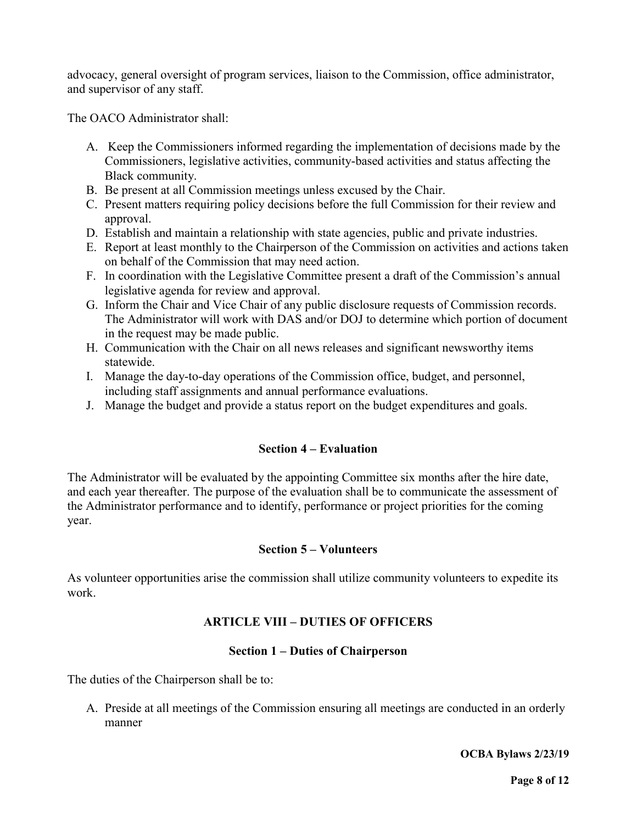advocacy, general oversight of program services, liaison to the Commission, office administrator, and supervisor of any staff.

The OACO Administrator shall:

- A. Keep the Commissioners informed regarding the implementation of decisions made by the Commissioners, legislative activities, community-based activities and status affecting the Black community.
- B. Be present at all Commission meetings unless excused by the Chair.
- C. Present matters requiring policy decisions before the full Commission for their review and approval.
- D. Establish and maintain a relationship with state agencies, public and private industries.
- E. Report at least monthly to the Chairperson of the Commission on activities and actions taken on behalf of the Commission that may need action.
- F. In coordination with the Legislative Committee present a draft of the Commission's annual legislative agenda for review and approval.
- G. Inform the Chair and Vice Chair of any public disclosure requests of Commission records. The Administrator will work with DAS and/or DOJ to determine which portion of document in the request may be made public.
- H. Communication with the Chair on all news releases and significant newsworthy items statewide.
- I. Manage the day-to-day operations of the Commission office, budget, and personnel, including staff assignments and annual performance evaluations.
- J. Manage the budget and provide a status report on the budget expenditures and goals.

# **Section 4 – Evaluation**

The Administrator will be evaluated by the appointing Committee six months after the hire date, and each year thereafter. The purpose of the evaluation shall be to communicate the assessment of the Administrator performance and to identify, performance or project priorities for the coming year.

### **Section 5 – Volunteers**

As volunteer opportunities arise the commission shall utilize community volunteers to expedite its work.

# **ARTICLE VIII – DUTIES OF OFFICERS**

### **Section 1 – Duties of Chairperson**

The duties of the Chairperson shall be to:

A. Preside at all meetings of the Commission ensuring all meetings are conducted in an orderly manner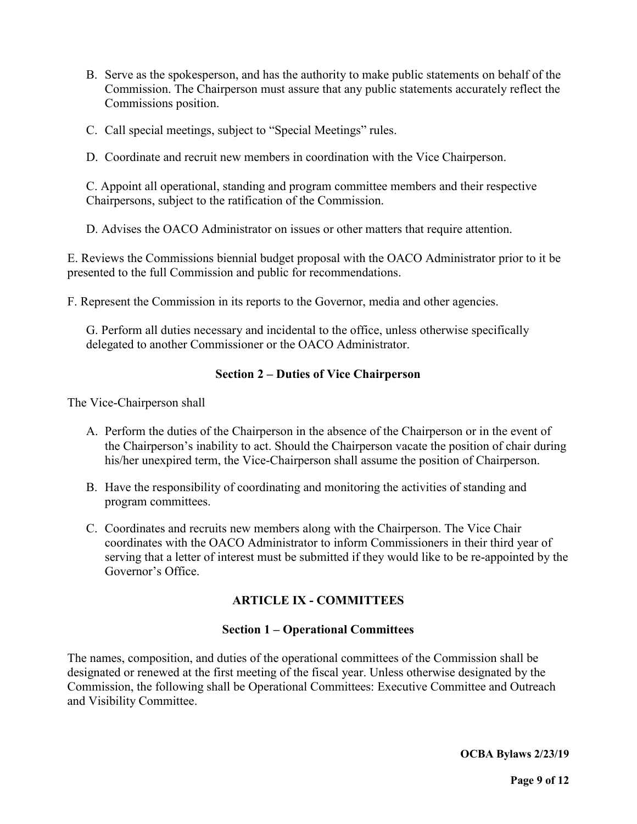- B. Serve as the spokesperson, and has the authority to make public statements on behalf of the Commission. The Chairperson must assure that any public statements accurately reflect the Commissions position.
- C. Call special meetings, subject to "Special Meetings" rules.
- D. Coordinate and recruit new members in coordination with the Vice Chairperson.

C. Appoint all operational, standing and program committee members and their respective Chairpersons, subject to the ratification of the Commission.

D. Advises the OACO Administrator on issues or other matters that require attention.

E. Reviews the Commissions biennial budget proposal with the OACO Administrator prior to it be presented to the full Commission and public for recommendations.

F. Represent the Commission in its reports to the Governor, media and other agencies.

G. Perform all duties necessary and incidental to the office, unless otherwise specifically delegated to another Commissioner or the OACO Administrator.

### **Section 2 – Duties of Vice Chairperson**

The Vice-Chairperson shall

- A. Perform the duties of the Chairperson in the absence of the Chairperson or in the event of the Chairperson's inability to act. Should the Chairperson vacate the position of chair during his/her unexpired term, the Vice-Chairperson shall assume the position of Chairperson.
- B. Have the responsibility of coordinating and monitoring the activities of standing and program committees.
- C. Coordinates and recruits new members along with the Chairperson. The Vice Chair coordinates with the OACO Administrator to inform Commissioners in their third year of serving that a letter of interest must be submitted if they would like to be re-appointed by the Governor's Office.

# **ARTICLE IX - COMMITTEES**

#### **Section 1 – Operational Committees**

The names, composition, and duties of the operational committees of the Commission shall be designated or renewed at the first meeting of the fiscal year. Unless otherwise designated by the Commission, the following shall be Operational Committees: Executive Committee and Outreach and Visibility Committee.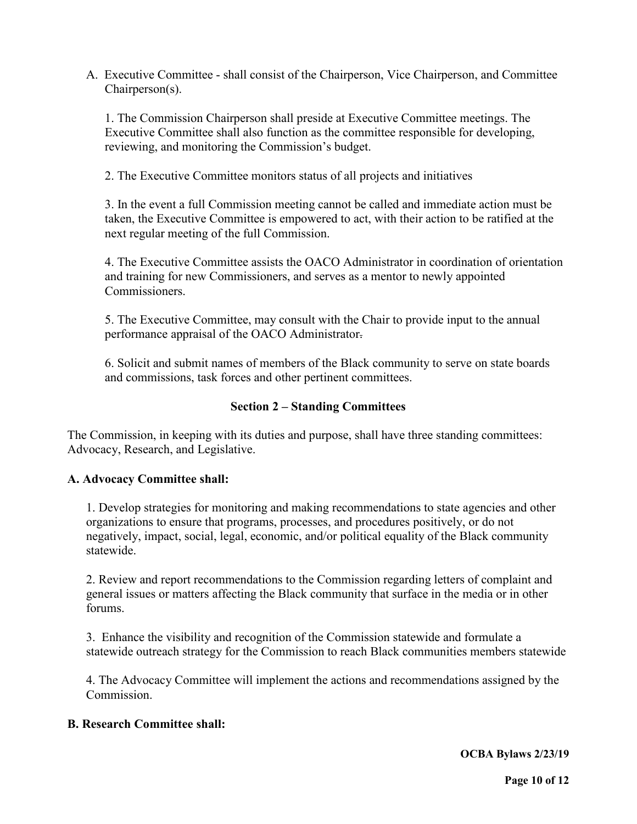A. Executive Committee - shall consist of the Chairperson, Vice Chairperson, and Committee Chairperson(s).

1. The Commission Chairperson shall preside at Executive Committee meetings. The Executive Committee shall also function as the committee responsible for developing, reviewing, and monitoring the Commission's budget.

2. The Executive Committee monitors status of all projects and initiatives

3. In the event a full Commission meeting cannot be called and immediate action must be taken, the Executive Committee is empowered to act, with their action to be ratified at the next regular meeting of the full Commission.

4. The Executive Committee assists the OACO Administrator in coordination of orientation and training for new Commissioners, and serves as a mentor to newly appointed Commissioners.

5. The Executive Committee, may consult with the Chair to provide input to the annual performance appraisal of the OACO Administrator.

6. Solicit and submit names of members of the Black community to serve on state boards and commissions, task forces and other pertinent committees.

## **Section 2 – Standing Committees**

The Commission, in keeping with its duties and purpose, shall have three standing committees: Advocacy, Research, and Legislative.

### **A. Advocacy Committee shall:**

1. Develop strategies for monitoring and making recommendations to state agencies and other organizations to ensure that programs, processes, and procedures positively, or do not negatively, impact, social, legal, economic, and/or political equality of the Black community statewide.

2. Review and report recommendations to the Commission regarding letters of complaint and general issues or matters affecting the Black community that surface in the media or in other forums.

3. Enhance the visibility and recognition of the Commission statewide and formulate a statewide outreach strategy for the Commission to reach Black communities members statewide

4. The Advocacy Committee will implement the actions and recommendations assigned by the Commission.

#### **B. Research Committee shall:**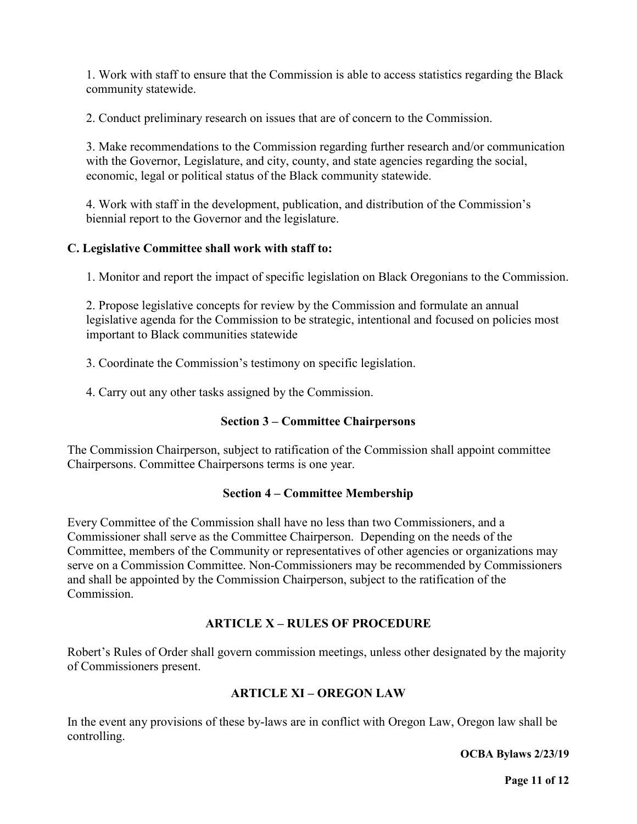1. Work with staff to ensure that the Commission is able to access statistics regarding the Black community statewide.

2. Conduct preliminary research on issues that are of concern to the Commission.

3. Make recommendations to the Commission regarding further research and/or communication with the Governor, Legislature, and city, county, and state agencies regarding the social, economic, legal or political status of the Black community statewide.

4. Work with staff in the development, publication, and distribution of the Commission's biennial report to the Governor and the legislature.

## **C. Legislative Committee shall work with staff to:**

1. Monitor and report the impact of specific legislation on Black Oregonians to the Commission.

2. Propose legislative concepts for review by the Commission and formulate an annual legislative agenda for the Commission to be strategic, intentional and focused on policies most important to Black communities statewide

3. Coordinate the Commission's testimony on specific legislation.

4. Carry out any other tasks assigned by the Commission.

### **Section 3 – Committee Chairpersons**

The Commission Chairperson, subject to ratification of the Commission shall appoint committee Chairpersons. Committee Chairpersons terms is one year.

### **Section 4 – Committee Membership**

Every Committee of the Commission shall have no less than two Commissioners, and a Commissioner shall serve as the Committee Chairperson. Depending on the needs of the Committee, members of the Community or representatives of other agencies or organizations may serve on a Commission Committee. Non-Commissioners may be recommended by Commissioners and shall be appointed by the Commission Chairperson, subject to the ratification of the Commission.

# **ARTICLE X – RULES OF PROCEDURE**

Robert's Rules of Order shall govern commission meetings, unless other designated by the majority of Commissioners present.

# **ARTICLE XI – OREGON LAW**

In the event any provisions of these by-laws are in conflict with Oregon Law, Oregon law shall be controlling.